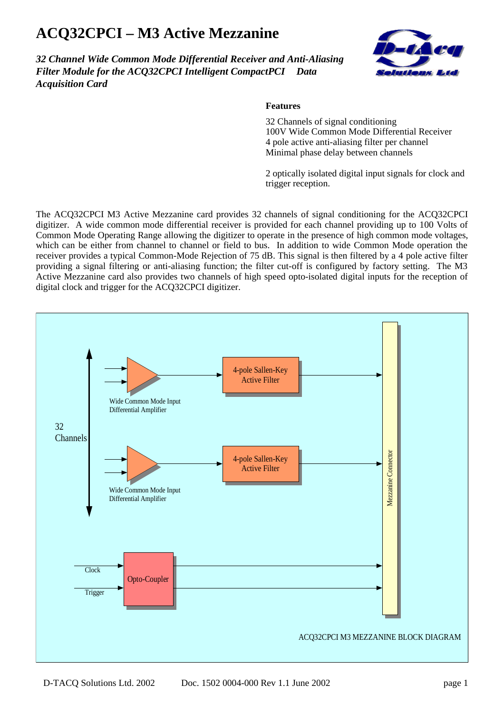## **ACQ32CPCI – M3 Active Mezzanine**

*32 Channel Wide Common Mode Differential Receiver and Anti-Aliasing Filter Module for the ACO32CPCI Intelligent CompactPCI<sup>™</sup> Data Acquisition Card*



## **Features**

32 Channels of signal conditioning 100V Wide Common Mode Differential Receiver 4 pole active anti-aliasing filter per channel Minimal phase delay between channels

2 optically isolated digital input signals for clock and trigger reception.

The ACQ32CPCI M3 Active Mezzanine card provides 32 channels of signal conditioning for the ACQ32CPCI digitizer. A wide common mode differential receiver is provided for each channel providing up to 100 Volts of Common Mode Operating Range allowing the digitizer to operate in the presence of high common mode voltages, which can be either from channel to channel or field to bus. In addition to wide Common Mode operation the receiver provides a typical Common-Mode Rejection of 75 dB. This signal is then filtered by a 4 pole active filter providing a signal filtering or anti-aliasing function; the filter cut-off is configured by factory setting. The M3 Active Mezzanine card also provides two channels of high speed opto-isolated digital inputs for the reception of digital clock and trigger for the ACQ32CPCI digitizer.